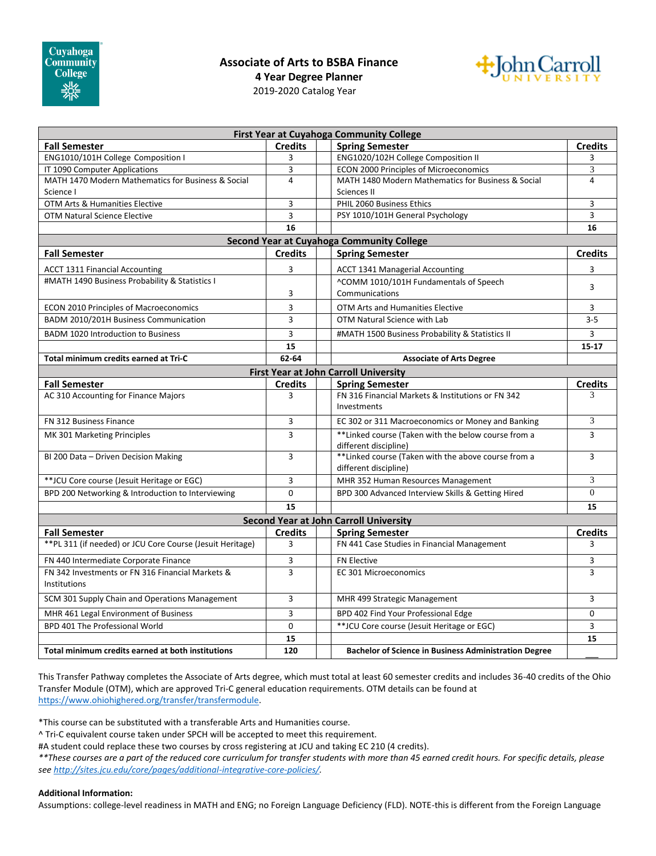## **Associate of Arts to BSBA Finance**



**4 Year Degree Planner**

2019-2020 Catalog Year

| First Year at Cuyahoga Community College                                |                |  |                                                                               |                |
|-------------------------------------------------------------------------|----------------|--|-------------------------------------------------------------------------------|----------------|
| <b>Fall Semester</b>                                                    | <b>Credits</b> |  | <b>Spring Semester</b>                                                        | <b>Credits</b> |
| ENG1010/101H College Composition I                                      | 3              |  | ENG1020/102H College Composition II                                           | 3              |
| IT 1090 Computer Applications                                           | 3              |  | ECON 2000 Principles of Microeconomics                                        | 3              |
| MATH 1470 Modern Mathematics for Business & Social                      | $\overline{4}$ |  | MATH 1480 Modern Mathematics for Business & Social                            | 4              |
| Science I                                                               |                |  | Sciences II                                                                   |                |
| OTM Arts & Humanities Elective                                          | 3              |  | PHIL 2060 Business Ethics                                                     | 3              |
| <b>OTM Natural Science Elective</b>                                     | 3              |  | PSY 1010/101H General Psychology                                              | 3              |
| 16                                                                      |                |  |                                                                               | 16             |
| <b>Second Year at Cuyahoga Community College</b>                        |                |  |                                                                               |                |
| <b>Fall Semester</b>                                                    | <b>Credits</b> |  | <b>Spring Semester</b>                                                        | <b>Credits</b> |
| <b>ACCT 1311 Financial Accounting</b>                                   | 3              |  | <b>ACCT 1341 Managerial Accounting</b>                                        | 3              |
| #MATH 1490 Business Probability & Statistics I                          |                |  | ^COMM 1010/101H Fundamentals of Speech                                        | 3              |
|                                                                         | 3              |  | Communications                                                                |                |
| <b>ECON 2010 Principles of Macroeconomics</b>                           | 3              |  | OTM Arts and Humanities Elective                                              | 3              |
| BADM 2010/201H Business Communication                                   | 3              |  | OTM Natural Science with Lab                                                  | $3 - 5$        |
| <b>BADM 1020 Introduction to Business</b>                               | 3              |  | #MATH 1500 Business Probability & Statistics II                               | 3              |
|                                                                         | 15             |  |                                                                               | $15 - 17$      |
| Total minimum credits earned at Tri-C                                   | 62-64          |  | <b>Associate of Arts Degree</b>                                               |                |
| <b>First Year at John Carroll University</b>                            |                |  |                                                                               |                |
| <b>Fall Semester</b>                                                    | <b>Credits</b> |  | <b>Spring Semester</b>                                                        | <b>Credits</b> |
| AC 310 Accounting for Finance Majors                                    | 3              |  | FN 316 Financial Markets & Institutions or FN 342<br>Investments              | 3              |
| FN 312 Business Finance                                                 | 3              |  | EC 302 or 311 Macroeconomics or Money and Banking                             | 3              |
| MK 301 Marketing Principles                                             | 3              |  | **Linked course (Taken with the below course from a<br>different discipline)  | $\overline{3}$ |
| BI 200 Data - Driven Decision Making                                    | 3              |  | ** Linked course (Taken with the above course from a<br>different discipline) | 3              |
| **JCU Core course (Jesuit Heritage or EGC)                              | 3              |  | MHR 352 Human Resources Management                                            | 3              |
| BPD 200 Networking & Introduction to Interviewing                       | 0              |  | BPD 300 Advanced Interview Skills & Getting Hired                             | $\mathbf{0}$   |
|                                                                         | 15             |  |                                                                               | 15             |
| <b>Second Year at John Carroll University</b>                           |                |  |                                                                               |                |
| <b>Fall Semester</b>                                                    | <b>Credits</b> |  | <b>Spring Semester</b>                                                        | <b>Credits</b> |
| ** PL 311 (if needed) or JCU Core Course (Jesuit Heritage)              | 3              |  | FN 441 Case Studies in Financial Management                                   | 3              |
| FN 440 Intermediate Corporate Finance                                   | 3              |  | <b>FN Elective</b>                                                            | 3              |
| FN 342 Investments or FN 316 Financial Markets &<br><b>Institutions</b> | 3              |  | <b>EC 301 Microeconomics</b>                                                  | 3              |
| SCM 301 Supply Chain and Operations Management                          | 3              |  | MHR 499 Strategic Management                                                  | 3              |
| MHR 461 Legal Environment of Business                                   | 3              |  | BPD 402 Find Your Professional Edge                                           | 0              |
| BPD 401 The Professional World                                          | $\mathbf 0$    |  | ** JCU Core course (Jesuit Heritage or EGC)                                   | 3              |
|                                                                         | 15             |  |                                                                               | 15             |
| Total minimum credits earned at both institutions                       | 120            |  | <b>Bachelor of Science in Business Administration Degree</b>                  |                |

This Transfer Pathway completes the Associate of Arts degree, which must total at least 60 semester credits and includes 36-40 credits of the Ohio Transfer Module (OTM), which are approved Tri-C general education requirements. OTM details can be found at [https://www.ohiohighered.org/transfer/transfermodule.](https://www.ohiohighered.org/transfer/transfermodule)

\*This course can be substituted with a transferable Arts and Humanities course.

^ Tri-C equivalent course taken under SPCH will be accepted to meet this requirement.

#A student could replace these two courses by cross registering at JCU and taking EC 210 (4 credits).

*\*\*These courses are a part of the reduced core curriculum for transfer students with more than 45 earned credit hours. For specific details, please se[e http://sites.jcu.edu/core/pages/additional-integrative-core-policies/.](http://sites.jcu.edu/core/pages/additional-integrative-core-policies/)* 

## **Additional Information:**

Assumptions: college-level readiness in MATH and ENG; no Foreign Language Deficiency (FLD). NOTE-this is different from the Foreign Language